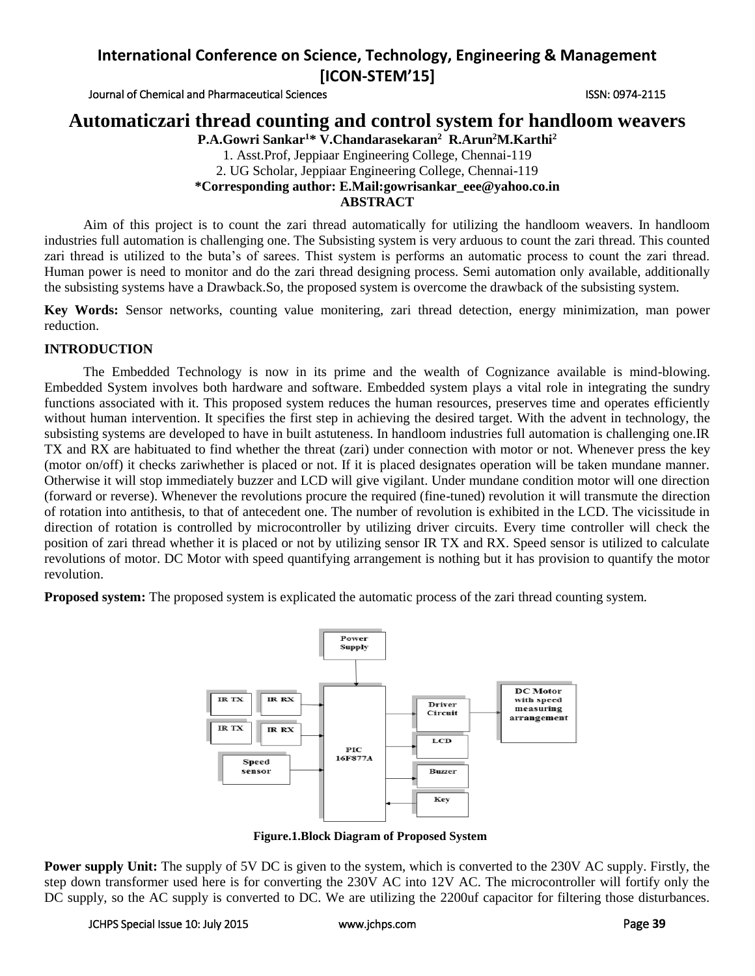Journal of Chemical and Pharmaceutical Sciences ISSN: 0974-2115

## **Automaticzari thread counting and control system for handloom weavers**

**P.A.Gowri Sankar<sup>1</sup>\* V.Chandarasekaran<sup>2</sup> R.Arun<sup>2</sup>M.Karthi<sup>2</sup>** 1. Asst.Prof, Jeppiaar Engineering College, Chennai-119 2. UG Scholar, Jeppiaar Engineering College, Chennai-119 **\*Corresponding author: E.Mail:gowrisankar\_eee@yahoo.co.in ABSTRACT**

Aim of this project is to count the zari thread automatically for utilizing the handloom weavers. In handloom industries full automation is challenging one. The Subsisting system is very arduous to count the zari thread. This counted zari thread is utilized to the buta's of sarees. Thist system is performs an automatic process to count the zari thread. Human power is need to monitor and do the zari thread designing process. Semi automation only available, additionally the subsisting systems have a Drawback.So, the proposed system is overcome the drawback of the subsisting system.

**Key Words:** Sensor networks, counting value monitering, zari thread detection, energy minimization, man power reduction.

## **INTRODUCTION**

The Embedded Technology is now in its prime and the wealth of Cognizance available is mind-blowing. Embedded System involves both hardware and software. Embedded system plays a vital role in integrating the sundry functions associated with it. This proposed system reduces the human resources, preserves time and operates efficiently without human intervention. It specifies the first step in achieving the desired target. With the advent in technology, the subsisting systems are developed to have in built astuteness. In handloom industries full automation is challenging one.IR TX and RX are habituated to find whether the threat (zari) under connection with motor or not. Whenever press the key (motor on/off) it checks zariwhether is placed or not. If it is placed designates operation will be taken mundane manner. Otherwise it will stop immediately buzzer and LCD will give vigilant. Under mundane condition motor will one direction (forward or reverse). Whenever the revolutions procure the required (fine-tuned) revolution it will transmute the direction of rotation into antithesis, to that of antecedent one. The number of revolution is exhibited in the LCD. The vicissitude in direction of rotation is controlled by microcontroller by utilizing driver circuits. Every time controller will check the position of zari thread whether it is placed or not by utilizing sensor IR TX and RX. Speed sensor is utilized to calculate revolutions of motor. DC Motor with speed quantifying arrangement is nothing but it has provision to quantify the motor revolution.

**Proposed system:** The proposed system is explicated the automatic process of the zari thread counting system.



**Figure.1.Block Diagram of Proposed System**

**Power supply Unit:** The supply of 5V DC is given to the system, which is converted to the 230V AC supply. Firstly, the step down transformer used here is for converting the 230V AC into 12V AC. The microcontroller will fortify only the DC supply, so the AC supply is converted to DC. We are utilizing the 2200uf capacitor for filtering those disturbances.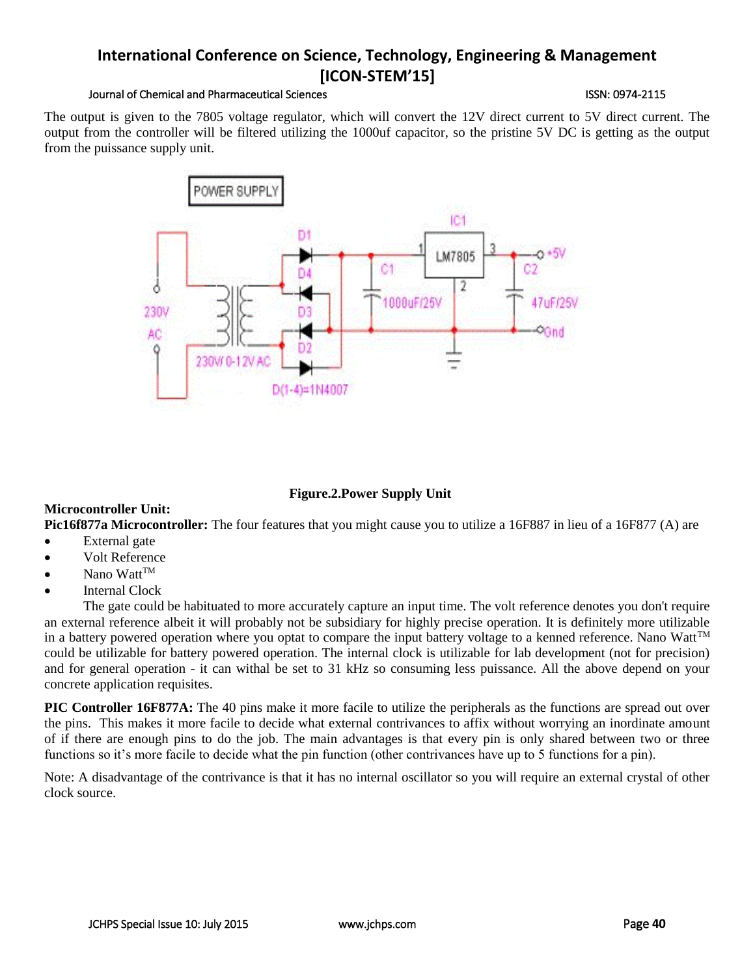#### Journal of Chemical and Pharmaceutical Sciences ISSN: 0974-2115

The output is given to the 7805 voltage regulator, which will convert the 12V direct current to 5V direct current. The output from the controller will be filtered utilizing the 1000uf capacitor, so the pristine 5V DC is getting as the output from the puissance supply unit.



## **Figure.2.Power Supply Unit**

## **Microcontroller Unit:**

**Pic16f877a Microcontroller:** The four features that you might cause you to utilize a 16F887 in lieu of a 16F877 (A) are • External gate

- Volt Reference
- Nano Watt™
- Internal Clock

The gate could be habituated to more accurately capture an input time. The volt reference denotes you don't require an external reference albeit it will probably not be subsidiary for highly precise operation. It is definitely more utilizable in a battery powered operation where you optat to compare the input battery voltage to a kenned reference. Nano Watt $\mathbb{M}$ could be utilizable for battery powered operation. The internal clock is utilizable for lab development (not for precision) and for general operation - it can withal be set to 31 kHz so consuming less puissance. All the above depend on your concrete application requisites.

**PIC Controller 16F877A:** The 40 pins make it more facile to utilize the peripherals as the functions are spread out over the pins. This makes it more facile to decide what external contrivances to affix without worrying an inordinate amount of if there are enough pins to do the job. The main advantages is that every pin is only shared between two or three functions so it's more facile to decide what the pin function (other contrivances have up to 5 functions for a pin).

Note: A disadvantage of the contrivance is that it has no internal oscillator so you will require an external crystal of other clock source.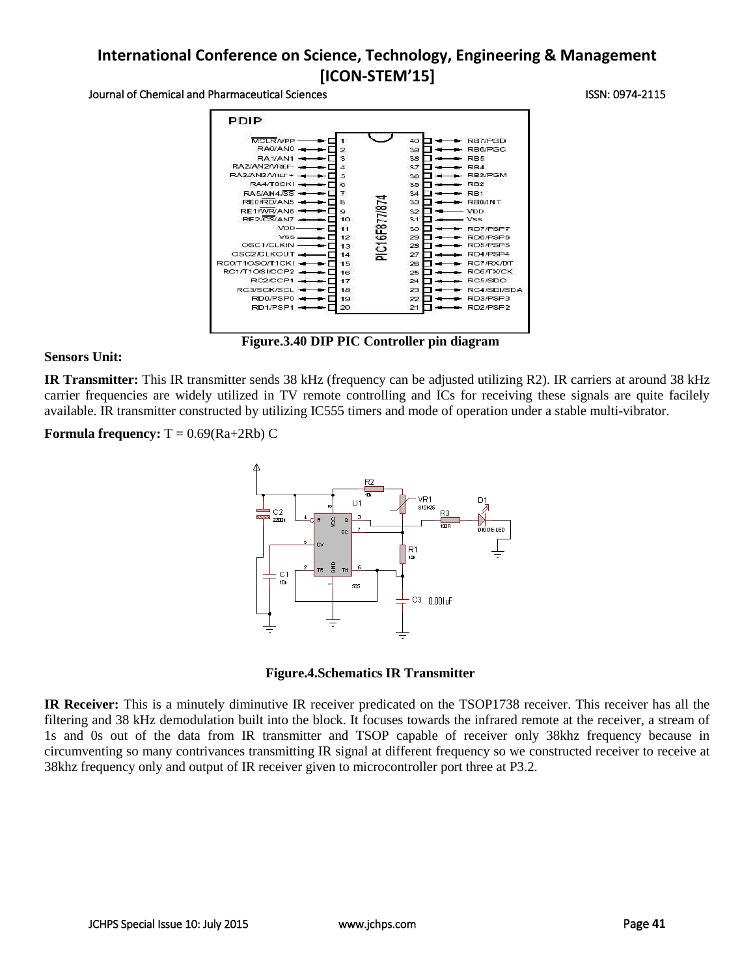#### Journal of Chemical and Pharmaceutical Sciences **ISSN: 0974-2115** ISSN: 0974-2115



**Figure.3.40 DIP PIC Controller pin diagram**

#### **Sensors Unit:**

**IR Transmitter:** This IR transmitter sends 38 kHz (frequency can be adjusted utilizing R2). IR carriers at around 38 kHz carrier frequencies are widely utilized in TV remote controlling and ICs for receiving these signals are quite facilely available. IR transmitter constructed by utilizing IC555 timers and mode of operation under a stable multi-vibrator.

**Formula frequency:**  $T = 0.69(Ra+2Rb)C$ 





**IR Receiver:** This is a minutely diminutive IR receiver predicated on the TSOP1738 receiver. This receiver has all the filtering and 38 kHz demodulation built into the block. It focuses towards the infrared remote at the receiver, a stream of 1s and 0s out of the data from IR transmitter and TSOP capable of receiver only 38khz frequency because in circumventing so many contrivances transmitting IR signal at different frequency so we constructed receiver to receive at 38khz frequency only and output of IR receiver given to microcontroller port three at P3.2.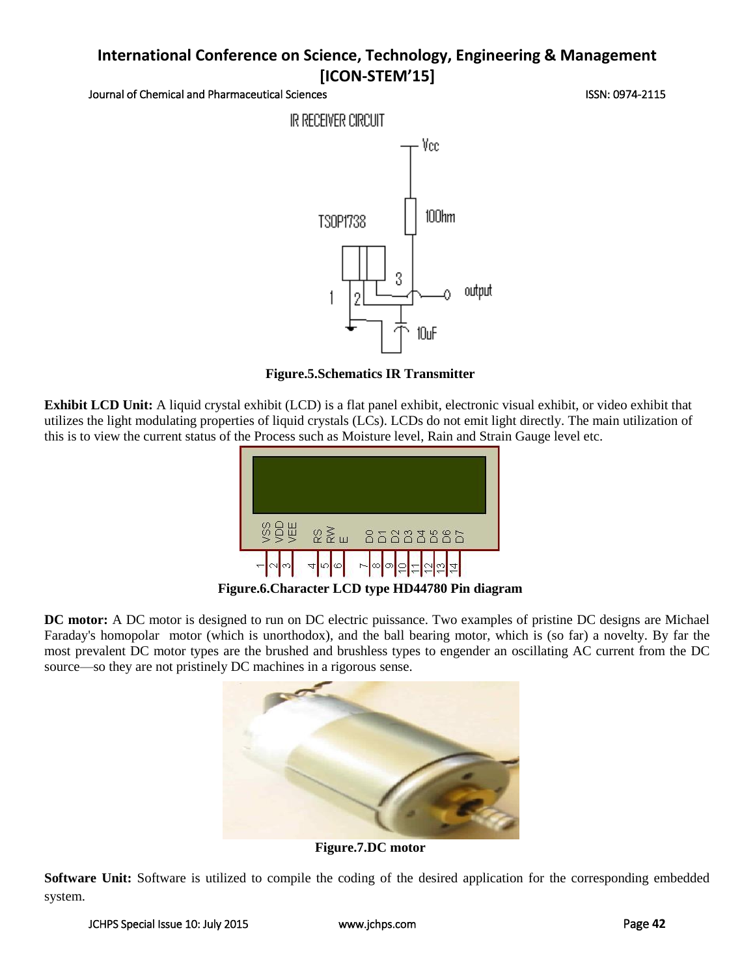Journal of Chemical and Pharmaceutical Sciences **ISSN: 0974-2115** ISSN: 0974-2115



**Figure.5.Schematics IR Transmitter**

**Exhibit LCD Unit:** A liquid crystal exhibit (LCD) is a flat panel exhibit, electronic visual exhibit, or video exhibit that utilizes the light modulating properties of liquid crystals (LCs). LCDs do not emit light directly. The main utilization of this is to view the current status of the Process such as Moisture level, Rain and Strain Gauge level etc.



**Figure.6.Character LCD type HD44780 Pin diagram**

**DC motor:** A DC motor is designed to run on DC electric puissance. Two examples of pristine DC designs are Michael Faraday's homopolar motor (which is unorthodox), and the ball bearing motor, which is (so far) a novelty. By far the most prevalent DC motor types are the brushed and brushless types to engender an oscillating AC current from the DC source—so they are not pristinely DC machines in a rigorous sense.



**Figure.7.DC motor**

**Software Unit:** Software is utilized to compile the coding of the desired application for the corresponding embedded system.